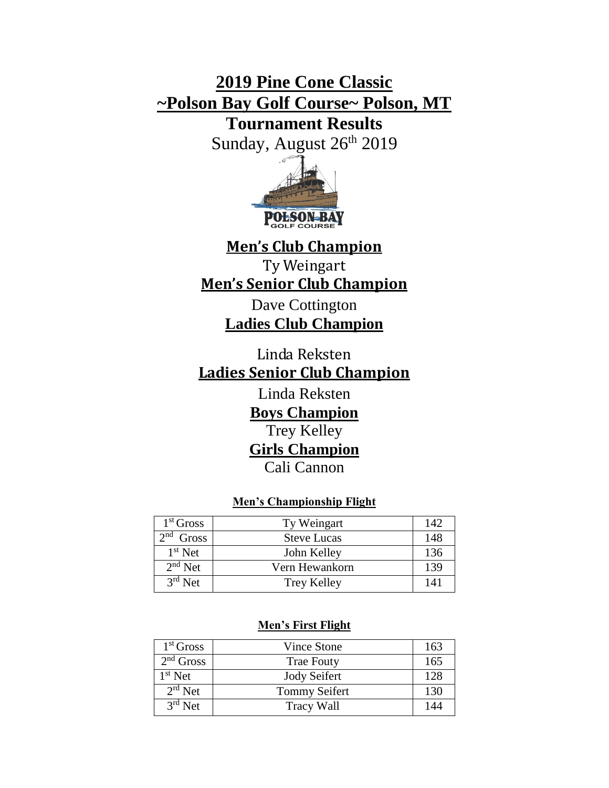# **2019 Pine Cone Classic ~Polson Bay Golf Course~ Polson, MT**

# **Tournament Results**

Sunday, August 26<sup>th</sup> 2019



# **Men's Club Champion**

Ty Weingart **Men's Senior Club Champion**

> Dave Cottington **Ladies Club Champion**

Linda Reksten **Ladies Senior Club Champion**

Linda Reksten

**Boys Champion**  Trey Kelley **Girls Champion** Cali Cannon

# **Men's Championship Flight**

| 1 <sup>st</sup> Gross | Ty Weingart        | 142 |
|-----------------------|--------------------|-----|
| $2nd$ Gross           | <b>Steve Lucas</b> | 148 |
| $1st$ Net             | John Kelley        | 136 |
| $2nd$ Net             | Vern Hewankorn     | 139 |
| $3rd$ Net             | Trey Kelley        | 141 |

### **Men's First Flight**

| $1st$ Gross | <b>Vince Stone</b>   | 163 |
|-------------|----------------------|-----|
| $2nd$ Gross | <b>Trae Fouty</b>    | 165 |
| $1st$ Net   | <b>Jody Seifert</b>  | 128 |
| $2rd$ Net   | <b>Tommy Seifert</b> | 130 |
| $3rd$ Net   | Tracy Wall           | 144 |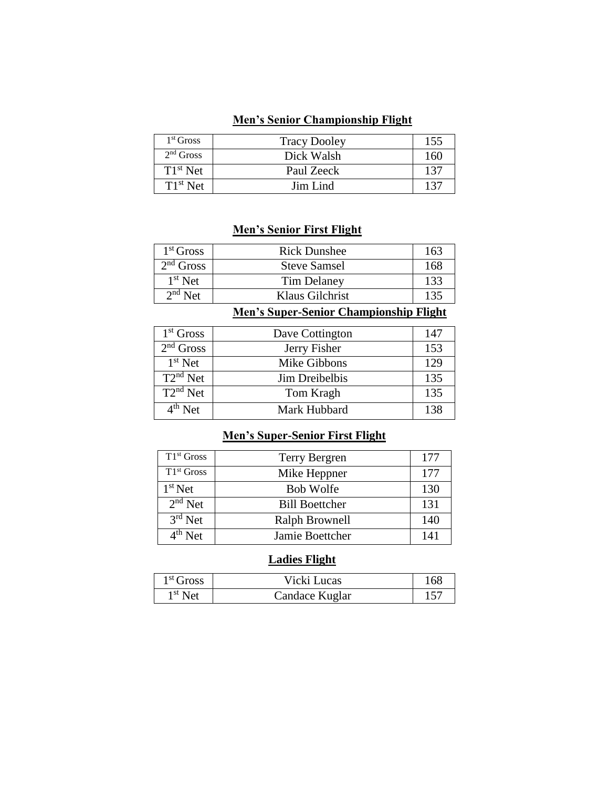#### **Men's Senior Championship Flight**

| $1st$ Gross | <b>Tracy Dooley</b> | 155 |
|-------------|---------------------|-----|
| $2nd$ Gross | Dick Walsh          | 160 |
| $T1st$ Net  | Paul Zeeck          | 137 |
| $T1st$ Net  | Jim Lind            | 137 |

#### **Men's Senior First Flight**

| $1st$ Gross | <b>Rick Dunshee</b> | 163 |
|-------------|---------------------|-----|
| $2nd$ Gross | <b>Steve Samsel</b> | 168 |
| $1st$ Net   | Tim Delaney         | 133 |
| $2nd$ Net   | Klaus Gilchrist     | 135 |

#### **Men's Super-Senior Championship Flight**

| $1st$ Gross   | Dave Cottington | 147 |
|---------------|-----------------|-----|
| $2nd$ Gross   | Jerry Fisher    | 153 |
| $1st$ Net     | Mike Gibbons    | 129 |
| $T2^{nd}$ Net | Jim Dreibelbis  | 135 |
| $T2^{nd}$ Net | Tom Kragh       | 135 |
| $4th$ Net     | Mark Hubbard    | 138 |

## **Men's Super-Senior First Flight**

| $T1st$ Gross        | Terry Bergren         | 177 |
|---------------------|-----------------------|-----|
| $T1st$ Gross        | Mike Heppner          | 177 |
| $1st$ Net           | <b>Bob Wolfe</b>      | 130 |
| $2nd$ Net           | <b>Bill Boettcher</b> | 131 |
| $3rd$ Net           | Ralph Brownell        | 140 |
| $4^{\text{th}}$ Net | Jamie Boettcher       | 141 |

# **Ladies Flight**

| 1 <sup>st</sup> Gross | Vicki Lucas    | 168 |
|-----------------------|----------------|-----|
| $1st$ Net             | Candace Kuglar |     |